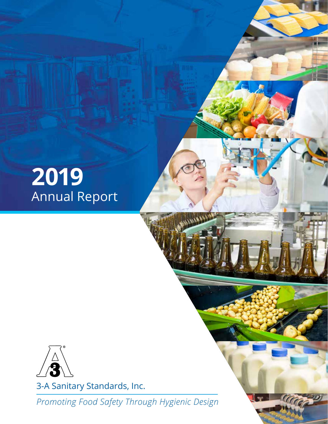



*Promoting Food Safety Through Hygienic Design*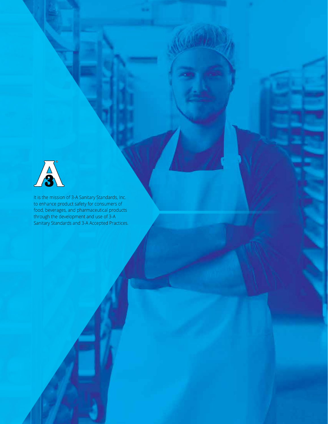

It is the mission of 3-A Sanitary Standards, Inc. to enhance product safety for consumers of food, beverages, and pharmaceutical products through the development and use of 3-A Sanitary Standards and 3-A Accepted Practices.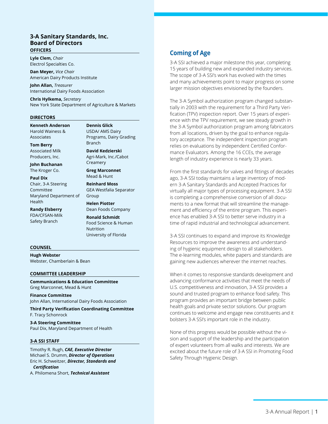### **OFFICERS 3-A Sanitary Standards, Inc. Board of Directors**

**Lyle Clem,** *Chair* Electrol Specialties Co.

**Dan Meyer,** *Vice Chair* American Dairy Products Institute

**John Allan,** *Treasurer* International Dairy Foods Association

**Chris Hylkema,** *Secretary* New York State Department of Agriculture & Markets

#### **DIRECTORS**

**Kenneth Anderson** Harold Wainess & Associates

**Tom Berry**  Associated Milk Producers, Inc.

**John Buchanan** 

The Kroger Co. **Paul Dix** 

Chair, 3-A Steering Committee Maryland Department of Health

**Randy Elsberry** FDA/CFSAN-Milk Safety Branch

**Dennis Glick** USDA/ AMS Dairy Programs, Dairy Grading Branch

**David Kedzierski** Agri-Mark, Inc./Cabot **Creamery** 

**Greg Marconnet** Mead & Hunt

# **Reinhard Moss**

GEA Westfalia Separator Group

**Helen Piotter** Dean Foods Company

**Ronald Schmidt** Food Science & Human Nutrition University of Florida

#### **COUNSEL**

**Hugh Webster** Webster, Chamberlain & Bean

### **COMMITTEE LEADERSHIP**

**Communications & Education Committee** Greg Marconnet, Mead & Hunt

**Finance Committee** John Allan, International Dairy Foods Association

**Third Party Verification Coordinating Committee** F. Tracy Schonrock

**3-A Steering Committee** Paul Dix, Maryland Department of Health

### **3-A SSI STAFF**

Timothy R. Rugh, *CAE, Executive Director* Michael S. Drumm, *Director of Operations* Eric H. Schweitzer, *Director, Standards and Certification* A. Philomena Short, *Technical Assistant*

**Coming of Age**

3-A SSI achieved a major milestone this year, completing 15 years of building new and expanded industry services. The scope of 3-A SSI's work has evolved with the times and many achievements point to major progress on some larger mission objectives envisioned by the founders.

The 3-A Symbol authorization program changed substantially in 2003 with the requirement for a Third Party Verification (TPV) inspection report. Over 15 years of experience with the TPV requirement, we see steady growth in the 3-A Symbol authorization program among fabricators from all locations, driven by the goal to enhance regulatory acceptance. The independent inspection program relies on evaluations by independent Certified Conformance Evaluators. Among the 16 CCEs, the average length of industry experience is nearly 33 years.

From the first standards for valves and fittings of decades ago, 3-A SSI today maintains a large inventory of modern 3-A Sanitary Standards and Accepted Practices for virtually all major types of processing equipment. 3-A SSI is completing a comprehensive conversion of all documents to a new format that will streamline the management and efficiency of the entire program. This experience has enabled 3-A SSI to better serve industry in a time of rapid industrial and technological advancement.

3-A SSI continues to expand and improve its Knowledge Resources to improve the awareness and understanding of hygienic equipment design to all stakeholders. The e-learning modules, white papers and standards are gaining new audiences wherever the internet reaches.

When it comes to responsive standards development and advancing conformance activities that meet the needs of U.S. competitiveness and innovation, 3-A SSI provides a sound and trusted program to enhance food safety. This program provides an important bridge between public health goals and private sector solutions. Our program continues to welcome and engage new constituents and it bolsters 3-A SSI's important role in the industry.

None of this progress would be possible without the vision and support of the leadership and the participation of expert volunteers from all walks and interests. We are excited about the future role of 3-A SSI in Promoting Food Safety Through Hygienic Design.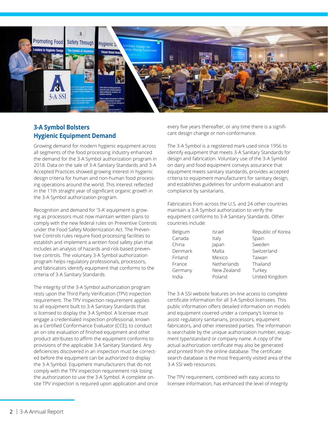

# **3-A Symbol Bolsters Hygienic Equipment Demand**

Growing demand for modern hygienic equipment across all segments of the food processing industry enhanced the demand for the 3-A Symbol authorization program in 2018. Data on the sale of 3-A Sanitary Standards and 3-A Accepted Practices showed growing interest in hygienic design criteria for human and non-human food processing operations around the world. This interest reflected in the 11th straight year of significant organic growth in the 3-A Symbol authorization program.

Recognition and demand for '3-A' equipment is growing as processors must now maintain written plans to comply with the new federal rules on Preventive Controls under the Food Safety Modernization Act. The Preventive Controls rules require food processing facilities to establish and implement a written food safety plan that includes an analysis of hazards and risk-based preventive controls. The voluntary 3-A Symbol authorization program helps regulatory professionals, processors, and fabricators identify equipment that conforms to the criteria of 3-A Sanitary Standards.

The integrity of the 3-A Symbol authorization program rests upon the Third Party Verification (TPV) inspection requirement. The TPV inspection requirement applies to all equipment built to 3-A Sanitary Standards that is licensed to display the 3-A Symbol. A licensee must engage a credentialed inspection professional, known as a Certified Conformance Evaluator (CCE), to conduct an on-site evaluation of finished equipment and other product attributes to affirm the equipment conforms to provisions of the applicable 3-A Sanitary Standard. Any deficiencies discovered in an inspection must be corrected before the equipment can be authorized to display the 3-A Symbol. Equipment manufacturers that do not comply with the TPV inspection requirement risk losing the authorization to use the 3-A Symbol. A complete onsite TPV inspection is required upon application and once every five years thereafter, or any time there is a significant design change or non-conformance.

The 3-A Symbol is a registered mark used since 1956 to identify equipment that meets 3-A Sanitary Standards for design and fabrication. Voluntary use of the 3-A Symbol on dairy and food equipment conveys assurance that equipment meets sanitary standards, provides accepted criteria to equipment manufacturers for sanitary design, and establishes guidelines for uniform evaluation and compliance by sanitarians.

Fabricators from across the U.S. and 24 other countries maintain a 3-A Symbol authorization to verify the equipment conforms to 3-A Sanitary Standards. Other countries include:

| Belgium | Israel      | Republic of Korea |
|---------|-------------|-------------------|
| Canada  | Italy       | Spain             |
| China   | Japan       | Sweden            |
| Denmark | Malta       | Switzerland       |
| Finland | Mexico      | Taiwan            |
| France  | Netherlands | Thailand          |
| Germany | New Zealand | Turkey            |
| India   | Poland      | United Kingdom    |
|         |             |                   |

The 3-A SSI website features on-line access to complete certificate information for all 3-A Symbol licensees. This public information offers detailed information on models and equipment covered under a company's license to assist regulatory sanitarians, processors, equipment fabricators, and other interested parties. The information is searchable by the unique authorization number, equipment type/standard or company name. A copy of the actual authorization certificate may also be generated and printed from the online database. The certificate search database is the most frequently visited area of the 3-A SSI web resources.

The TPV requirement, combined with easy access to licensee information, has enhanced the level of integrity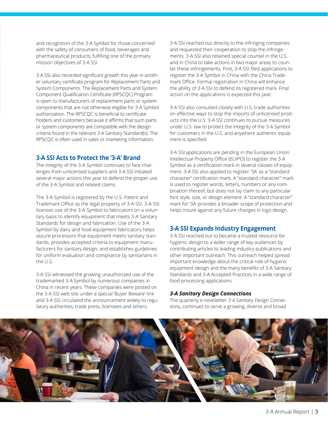and recognition of the 3-A Symbol for those concerned with the safety of consumers of food, beverages and pharmaceutical products, fulfilling one of the primary mission objectives of 3-A SSI.

3-A SSI also recorded significant growth this year in another voluntary certificate program for Replacement Parts and System Components. The Replacement Parts and System Component Qualification Certificate (RPSCQC) Program is open to manufacturers of replacement parts or system components that are not otherwise eligible for 3-A Symbol authorization. The RPSCQC is beneficial to certificate holders and customers because it affirms that such parts or system components are compatible with the design criteria found in the relevant 3-A Sanitary Standard(s). The RPSCQC is often used in sales or marketing information.

### **3-A SSI Acts to Protect the '3-A' Brand**

The integrity of the 3-A Symbol continues to face challenges from unlicensed suppliers and 3-A SSI initiated several major actions this year to defend the proper use of the 3-A Symbol and related claims.

The 3-A Symbol is registered by the U.S. Patent and Trademark Office as the legal property of 3-A SSI. 3-A SSI licenses use of the 3-A Symbol to fabricators on a voluntary basis to identify equipment that meets 3-A Sanitary Standards for design and fabrication. Use of the 3-A Symbol by dairy and food equipment fabricators helps assure processors that equipment meets sanitary standards, provides accepted criteria to equipment manufacturers for sanitary design, and establishes guidelines for uniform evaluation and compliance by sanitarians in the U.S.

3-A SSI witnessed the growing unauthorized use of the trademarked 3-A Symbol by numerous companies in China in recent years. These companies were posted on the 3-A SSI web site under a special 'Buyer Beware' link and 3-A SSI circulated the announcement widely to regulatory authorities, trade press, licensees and others.

3-A SSI reached out directly to the infringing companies and requested their cooperation to stop the infringements. 3-A SSI also retained special counsel in the U.S. and in China to take actions in two major areas to counter these infringements. First, 3-A SSI filed applications to register the 3-A Symbol in China with the China Trademark Office. Formal registration in China will enhance the ability of 3-A SSI to defend its registered mark. Final action on the applications is expected this year.

3-A SSI also consulted closely with U.S. trade authorities on effective ways to stop the imports of unlicensed products into the U.S. 3-A SSI continues to pursue measures under U.S. law to protect the integrity of the 3-A Symbol for customers in the U.S. and anywhere authentic equipment is specified.

3-A SSI applications are pending in the European Union Intellectual Property Office (EUIPO) to register the 3-A Symbol as a certification mark in several classes of equipment. 3-A SSI also applied to register '3A' as a "standard character" certification mark. A "standard character" mark is used to register words, letters, numbers or any combination thereof, but does not lay claim to any particular font style, size, or design element. A "standard character" mark for '3A' provides a broader scope of protection and helps insure against any future changes in logo design.

### **3-A SSI Expands Industry Engagement**

3-A SSI reached out to became a trusted resource for hygienic design to a wider range of key audiences by contributing articles to leading industry publications and other important outreach. This outreach helped spread important knowledge about the critical role of hygienic equipment design and the many benefits of 3-A Sanitary Standards and 3-A Accepted Practices in a wide range of food processing applications.

### *3-A Sanitary Design Connections*

The quarterly e-newsletter *3-A Sanitary Design Connections,* continues to serve a growing, diverse and broad

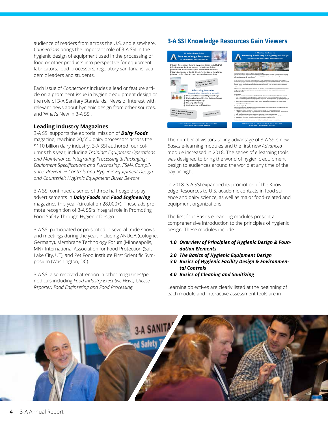audience of readers from across the U.S. and elsewhere. *Connections* brings the important role of 3-A SSI in the hygienic design of equipment used in the processing of food or other products into perspective for equipment fabricators, food processors, regulatory sanitarians, academic leaders and students.

Each issue of *Connections* includes a lead or feature article on a prominent issue in hygienic equipment design or the role of 3-A Sanitary Standards, 'News of Interest' with relevant news about hygienic design from other sources, and 'What's New In 3-A SSI'.

### **Leading Industry Magazines**

3-A SSI supports the editorial mission of *Dairy Foods* magazine, reaching 20,550 dairy processors across the \$110 billion dairy industry. 3-A SSI authored four columns this year, including *Training: Equipment Operations and Maintenance, Integrating Processing & Packaging: Equipment Specifications and Purchasing, FSMA Compliance: Preventive Controls and Hygienic Equipment Design, and Counterfeit Hygienic Equipment: Buyer Beware.*

3-A SSI continued a series of three half-page display advertisements in *Dairy Foods* and *Food Engineering* magazines this year (circulation 28,000+). These ads promote recognition of 3-A SSI's integral role in Promoting Food Safety Through Hygienic Design.

3-A SSI participated or presented in several trade shows and meetings during the year, including ANUGA (Cologne, Germany), Membrane Technology Forum (Minneapolis, MN), International Association for Food Protection (Salt Lake City, UT), and Pet Food Institute First Scientific Symposium (Washington, DC).

3-A SSI also received attention in other magazines/periodicals including *Food Industry Executive News, Cheese Reporter, Food Engineering and Food Processing*.

### **3-A SSI Knowledge Resources Gain Viewers**



The number of visitors taking advantage of 3-A SSI's new *Basics* e-learning modules and the first new *Advanced* module increased in 2018. The series of e-learning tools was designed to bring the world of hygienic equipment design to audiences around the world at any time of the day or night.

In 2018, 3-A SSI expanded its promotion of the Knowledge Resources to U.S. academic contacts in food science and dairy science, as well as major food-related and equipment organizations.

The first four Basics e-learning modules present a comprehensive introduction to the principles of hygienic design. These modules include:

- *1.0 Overview of Principles of Hygienic Design & Foundation Elements*
- *2.0 The Basics of Hygienic Equipment Design*
- *3.0 Basics of Hygienic Facility Design & Environmental Controls*
- *4.0 Basics of Cleaning and Sanitizing*

Learning objectives are clearly listed at the beginning of each module and interactive assessment tools are in-

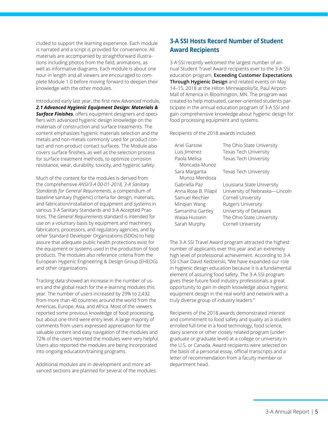cluded to support the learning experience. Each module is narrated and a script is provided for convenience. All materials are accompanied by straightforward illustrations including photos from the field, animations, as well as informative diagrams. Each module is about one hour in length and all viewers are encouraged to complete Module 1.0 before moving forward to deepen their knowledge with the other modules.

Introduced early last year, the first new *Advanced* module, *2.1 Advanced Hygienic Equipment Design: Materials & Surface Finishes*, offers equipment designers and specifiers with advanced hygienic design knowledge on the materials of construction and surface treatments. The content emphasizes hygienic materials selection and the metals and non-metals commonly used for product contact and non-product contact surfaces. The Module also covers surface finishes, as well as the selection process for surface treatment methods, to optimize corrosion resistance, wear, durability, toxicity, and hygienic safety.

Much of the content for the modules is derived from the comprehensive *ANSI/3-A 00-01-2018, 3-A Sanitary Standards for General Requirements*, a compendium of baseline sanitary (hygienic) criteria for design, materials, and fabrication/installation of equipment and systems in various 3-A Sanitary Standards and 3-A Accepted Practices. The *General Requirements* standard is intended for use on a voluntary basis by equipment and machinery fabricators, processors, and regulatory agencies, and by other Standard Developer Organizations (SDOs) to help assure that adequate public health protections exist for the equipment or systems used in the production of food products. The modules also reference criteria from the European Hygienic Engineering & Design Group (EHEDG) and other organizations.

Tracking data showed an increase in the number of users and the global reach for the e-learning modules this year. The number of users increased by 29% to 2,432 from more than 40 countries around the world from the Americas, Europe, Asia, and Africa. Most of the viewers reported some previous knowledge of food processing, but about one-third were entry level. A large majority of comments from users expressed appreciation for the valuable content and easy navigation of the modules and 72% of the users reported the modules were very helpful. Users also reported the modules are being incorporated into ongoing education/training programs.

Additional modules are in development and more advanced sections are planned for several of the modules.

# **3-A SSI Hosts Record Number of Student Award Recipients**

3-A SSI recently welcomed the largest number of annual Student Travel Award recipients ever to the 3-A SSI education program, **Exceeding Customer Expectations Through Hygienic Design** and related events on May 14–15, 2018 at the Hilton Minneapolis/St. Paul Airport-Mall of America in Bloomington, MN. The program was created to help motivated, career-oriented students participate in the annual education program of 3-A SSI and gain comprehensive knowledge about hygienic design for food processing equipment and systems.

Recipients of the 2018 awards included:

| Luis Jimenez         | Texas Tech University          |
|----------------------|--------------------------------|
| Paola Melisa         | Texas Tech University          |
| Moncada-Munoz        |                                |
| Sara Margarita       | Texas Tech University          |
| Munoz-Mendoza        |                                |
| Gabriella Paz        | Louisiana State University     |
| Anna Rose B. Pilapil | University of Nebraska-Lincoln |
| Samuel Reichler      | Cornell University             |
| Mingian Wang         | Rutgers University             |
| Samantha Gartley     | University of Delaware         |
| Walaa Hussein        | The Ohio State University      |
| Sarah Murphy         | Cornell University             |
|                      |                                |

The 3-A SSI Travel Award program attracted the highest number of applicants ever this year and an extremely high level of professional achievement. According to 3-A SSI Chair David Kedzierski, "We have expanded our role in hygienic design education because it is a fundamental element of assuring food safety. The 3-A SSI program gives these future food industry professionals a great opportunity to gain in-depth knowledge about hygienic equipment design in the real world and network with a truly diverse group of industry leaders."

Recipients of the 2018 awards demonstrated interest and commitment to food safety and quality as a student enrolled full-time in a food technology, food science, dairy science or other closely related program (undergraduate or graduate level) at a college or university in the U.S. or Canada. Award recipients were selected on the basis of a personal essay, official transcripts and a letter of recommendation from a faculty member or department head.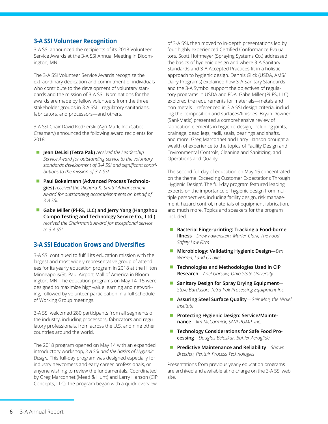### **3-A SSI Volunteer Recognition**

3-A SSI announced the recipients of its 2018 Volunteer Service Awards at the 3-A SSI Annual Meeting in Bloomington, MN.

The 3-A SSI Volunteer Service Awards recognize the extraordinary dedication and commitment of individuals who contribute to the development of voluntary standards and the mission of 3-A SSI. Nominations for the awards are made by fellow volunteers from the three stakeholder groups in 3-A SSI—regulatory sanitarians, fabricators, and processors—and others.

3-A SSI Chair David Kedzierski (Agri-Mark, Inc./Cabot Creamery) announced the following award recipients for 2018:

- **Jean DeLisi (Tetra Pak)** *received the Leadership Service Award for outstanding service to the voluntary standards development of 3-A SSI and significant contributions to the mission of 3-A SSI.*
- Paul Bokelmann (Advanced Process Technolo**gies)** *received the 'Richard K. Smith' Advancement Award for outstanding accomplishments on behalf of 3-A SSI.*
- **Gabe Miller (Pi-FS, LLC) and Jerry Yang (Hangzhou Compo Testing and Technology Service Co., Ltd.)** *received the Chairman's Award for exceptional service to 3-A SSI.*

### **3-A SSI Education Grows and Diversifies**

3-A SSI continued to fulfill its education mission with the largest and most widely representative group of attendees for its yearly education program in 2018 at the Hilton Minneapolis/St. Paul Airport-Mall of America in Bloomington, MN. The education programs on May 14–15 were designed to maximize high-value learning and networking, followed by volunteer participation in a full schedule of Working Group meetings.

3-A SSI welcomed 280 participants from all segments of the industry, including processors, fabricators and regulatory professionals, from across the U.S. and nine other countries around the world.

The 2018 program opened on May 14 with an expanded introductory workshop, *3-A SSI and the Basics of Hygienic Design.* This full-day program was designed especially for industry newcomers and early career professionals, or anyone wishing to review the fundamentals. Coordinated by Greg Marconnet (Mead & Hunt) and Larry Hanson (CIP Concepts, LLC), the program began with a quick overview

of 3-A SSI, then moved to in-depth presentations led by four highly experienced Certified Conformance Evaluators. Scott Hoffmeyer (Spraying Systems Co.) addressed the basics of hygienic design and where 3-A Sanitary Standards and 3-A Accepted Practices fit in a holistic approach to hygienic design. Dennis Glick (USDA, AMS/ Dairy Programs) explained how 3-A Sanitary Standards and the 3-A Symbol support the objectives of regulatory programs in USDA and FDA. Gabe Miller (Pi-FS, LLC) explored the requirements for materials—metals and non-metals—referenced in 3-A SSI design criteria, including the composition and surfaces/finishes. Bryan Downer (Sani-Matic) presented a comprehensive review of fabrication elements in hygienic design, including joints, drainage, dead legs, radii, seals, bearings and shafts, and more. Greg Marconnet and Larry Hanson brought a wealth of experience to the topics of Facility Design and Environmental Controls, Cleaning and Sanitizing, and Operations and Quality.

The second full day of education on May 15 concentrated on the theme 'Exceeding Customer Expectations Through Hygienic Design'. The full-day program featured leading experts on the importance of hygienic design from multiple perspectives, including facility design, risk management, hazard control, materials of equipment fabrication, and much more. Topics and speakers for the program included:

- **Bacterial Fingerprinting: Tracking a Food-borne Illness***—Drew Falkenstein, Marler-Clark, The Food Safety Law Firm*
- Microbiology: Validating Hygienic Design–Ben *Warren, Land O'Lakes*
- Technologies and Methodologies Used in CIP **Research***—Ariel Garsow, Ohio State University*
- Sanitary Design for Spray Drying Equipment— *Steve Barduson, Tetra Pak Processing Equipment Inc.*
- **Assuring Steel Surface Quality***—Geir Moe, the Nickel Institute*
- **Protecting Hygienic Design: Service/Maintenance***—Jim McCormick, SANI-PUMP, Inc.*
- **Technology Considerations for Safe Food Processing***—Douglas Beloskur, Buhler Aeroglide*
- **Predictive Maintenance and Reliability***—Shawn Breeden, Pentair Process Technologies*

Presentations from previous yearly education programs are archived and available at no charge on the 3-A SSI web site.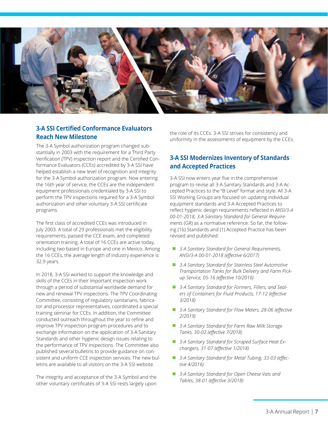

# **3-A SSI Certified Conformance Evaluators Reach New Milestone**

The 3-A Symbol authorization program changed substantially in 2003 with the requirement for a Third Party Verification (TPV) inspection report and the Certified Conformance Evaluators (CCEs) accredited by 3-A SSI have helped establish a new level of recognition and integrity for the 3-A Symbol authorization program. Now entering the 16th year of service, the CCEs are the independent equipment professionals credentialed by 3-A SSI to perform the TPV inspections required for a 3-A Symbol authorization and other voluntary 3-A SSI certificate programs.

The first class of accredited CCEs was introduced in July 2003. A total of 29 professionals met the eligibility requirements, passed the CCE exam, and completed orientation training. A total of 16 CCEs are active today, including two based in Europe and one in Mexico. Among the 16 CCEs, the average length of industry experience is 32.9 years.

In 2018, 3-A SSI worked to support the knowledge and skills of the CCEs in their important inspection work through a period of substantial worldwide demand for new and renewal TPV inspections. The TPV Coordinating Committee, consisting of regulatory sanitarians, fabricator and processor representatives, coordinated a special training seminar for CCEs. In addition, the Committee conducted outreach throughout the year to refine and improve TPV inspection program procedures and to exchange information on the application of 3-A Sanitary Standards and other hygienic design issues relating to the performance of TPV inspections. The Committee also published several bulletins to provide guidance on consistent and uniform CCE inspection services. The new bulletins are available to all visitors on the 3-A SSI website.

The integrity and acceptance of the 3-A Symbol and the other voluntary certificates of 3-A SSI rests largely upon

the role of its CCEs. 3-A SSI strives for consistency and uniformity in the assessments of equipment by the CCEs.

# **3-A SSI Modernizes Inventory of Standards and Accepted Practices**

3-A SSI now enters year five in the comprehensive program to revise all 3-A Sanitary Standards and 3-A Accepted Practices to the "B Level" format and style. All 3-A SSI Working Groups are focused on updating individual equipment standards and 3-A Accepted Practices to reflect hygienic design requirements reflected in *ANSI/3-A 00-01-2018, 3-A Sanitary Standard for General Requirements* (GR) as a normative reference. So far, the following (16) Standards and (1) Accepted Practice has been revised and published:

- 3-A Sanitary Standard for General Requirements, *ANSI/3-A 00-01-2018 (effective 6/2017)*
- 3-A Sanitary Standard for Stainless Steel Automotive *Transportation Tanks for Bulk Delivery and Farm Pickup Service, 05-16 (effective 10/2016)*
- 3-A Sanitary Standard for Formers, Fillers, and Seal*ers of Containers for Fluid Products, 17-12 (effective 3/2018)*
- 3-A Sanitary Standard for Flow Meters, 28-06 (effective *2/2019)*
- 3-A Sanitary Standard for Farm Raw Milk Storage *Tanks, 30-02 (effective 7/2018)*
- 3-A Sanitary Standard for Scraped Surface Heat Ex*changers, 31-07 (effective 1/2018)*
- 3-A Sanitary Standard for Metal Tubing, 33-03 (effec*tive 4/2016)*
- 3-A Sanitary Standard for Open Cheese Vats and *Tables, 38-01 (effective 3/2018)*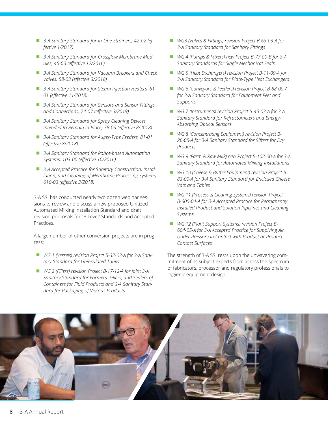- 3-A Sanitary Standard for *In-Line Strainers, 42-02 (effective 1/2017)*
- *3-A Sanitary Standard for Crossflow Membrane Modules, 45-03 (effective 12/2016)*
- *3-A Sanitary Standard for Vacuum Breakers and Check Valves, 58-03 (effective 3/2018)*
- *3-A Sanitary Standard for Steam Injection Heaters, 61- 01 (effective 11/2018)*
- *3-A Sanitary Standard for Sensors and Sensor Fittings and Connections, 74-07 (effective 3/2019)*
- *3-A Sanitary Standard for Spray Cleaning Devices Intended to Remain in Place, 78-03 (effective 8/2018)*
- *3-A Sanitary Standard for Auger-Type Feeders, 81-01 (effective 8/2018)*
- *3-A Sanitary Standard for Robot-based Automation Systems, 103-00 (effective 10/2016)*
- 3-A Accepted Practice for Sanitary Construction, Instal*lation, and Cleaning of Membrane Processing Systems, 610-03 (effective 3/2018)*

3-A SSI has conducted nearly two dozen webinar sessions to review and discuss a new proposed Unitized Automated Milking Installation Standard and draft revision proposals for "B Level" Standards and Accepted Practices.

A large number of other conversion projects are in progress:

- *WG 1 (Vessels) revision Project B-32-03-A for 3-A Sanitary Standard for Uninsulated Tanks*
- *WG 2 (Fillers) revision Project B-17-12-A for joint 3-A Sanitary Standard for Formers, Fillers, and Sealers of Containers for Fluid Products and 3-A Sanitary Standard for Packaging of Viscous Products*
- *WG3 (Valves & Fittings) revision Project B-63-03-A for 3-A Sanitary Standard for Sanitary Fittings*
- *WG 4 (Pumps & Mixers) new Project B-77-00-B for 3-A Sanitary Standards for Single Mechanical Seals*
- *WG 5 (Heat Exchangers) revision Project B-11-09-A for 3-A Sanitary Standard for Plate-Type Heat Exchangers*
- *WG 6 (Conveyors & Feeders) revision Project B-88-00-A for 3-A Sanitary Standard for Equipment Feet and Supports*
- *WG 7 (Instruments) revision Project B-46-03-A for 3-A Sanitary Standard for Refractometers and Energy-Absorbing Optical Sensors*
- *WG 8 (Concentrating Equipment) revision Project B-26-05-A for 3-A Sanitary Standard for Sifters for Dry Products*
- *WG 9 (Farm & Raw Milk) new Project B-102-00-A for 3-A Sanitary Standard for Automated Milking Installations*
- *WG 10 (Cheese & Butter Equipment) revision Project B-83-00-A for 3-A Sanitary Standard for Enclosed Cheese Vats and Tables*
- *WG 11 (Process & Cleaning Systems) revision Project B-605-04-A for 3-A Accepted Practice for Permanently Installed Product and Solution Pipelines and Cleaning Systems*
- *WG 12 (Plant Support Systems) revision Project B-604-05-A for 3-A Accepted Practice for Supplying Air Under Pressure in Contact with Product or Product Contact Surfaces*

The strength of 3-A SSI rests upon the unwavering commitment of its subject experts from across the spectrum of fabricators, processor and regulatory professionals to hygienic equipment design.

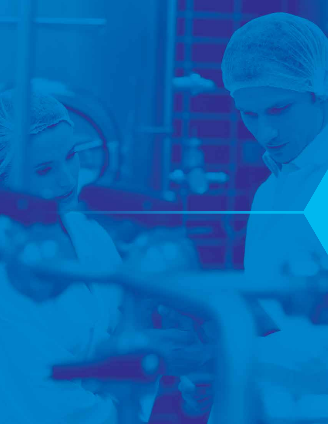